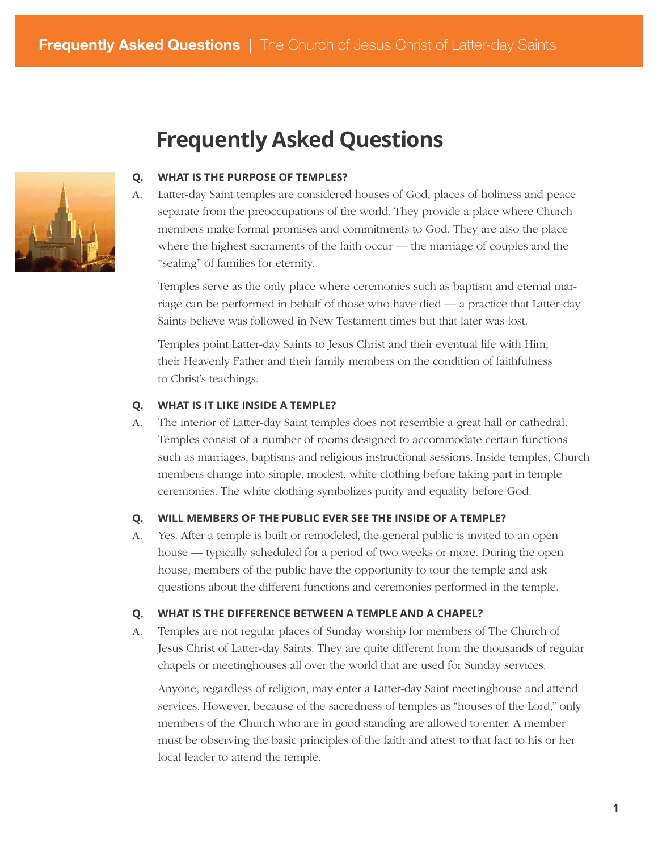# **Frequently Asked Questions**



#### **WHAT IS THE PURPOSE OF TEMPLES? Q.**

Latter-day Saint temples are considered houses of God, places of holiness and peace separate from the preoccupations of the world. They provide a place where Church members make formal promises and commitments to God. They are also the place where the highest sacraments of the faith occur — the marriage of couples and the "sealing" of families for eternity. A.

Temples serve as the only place where ceremonies such as baptism and eternal marriage can be performed in behalf of those who have died — a practice that Latter-day Saints believe was followed in New Testament times but that later was lost.

Temples point Latter-day Saints to Jesus Christ and their eventual life with Him, their Heavenly Father and their family members on the condition of faithfulness to Christ's teachings.

#### **WHAT IS IT LIKE INSIDE A TEMPLE? Q.**

The interior of Latter-day Saint temples does not resemble a great hall or cathedral. Temples consist of a number of rooms designed to accommodate certain functions such as marriages, baptisms and religious instructional sessions. Inside temples, Church members change into simple, modest, white clothing before taking part in temple ceremonies. The white clothing symbolizes purity and equality before God. A.

#### **WILL MEMBERS OF THE PUBLIC EVER SEE THE INSIDE OF A TEMPLE? Q.**

Yes. After a temple is built or remodeled, the general public is invited to an open house — typically scheduled for a period of two weeks or more. During the open house, members of the public have the opportunity to tour the temple and ask questions about the different functions and ceremonies performed in the temple. A.

## **WHAT IS THE DIFFERENCE BETWEEN A TEMPLE AND A CHAPEL? Q.**

Temples are not regular places of Sunday worship for members of The Church of Jesus Christ of Latter-day Saints. They are quite different from the thousands of regular chapels or meetinghouses all over the world that are used for Sunday services. A.

Anyone, regardless of religion, may enter a Latter-day Saint meetinghouse and attend services. However, because of the sacredness of temples as "houses of the Lord," only members of the Church who are in good standing are allowed to enter. A member must be observing the basic principles of the faith and attest to that fact to his or her local leader to attend the temple.